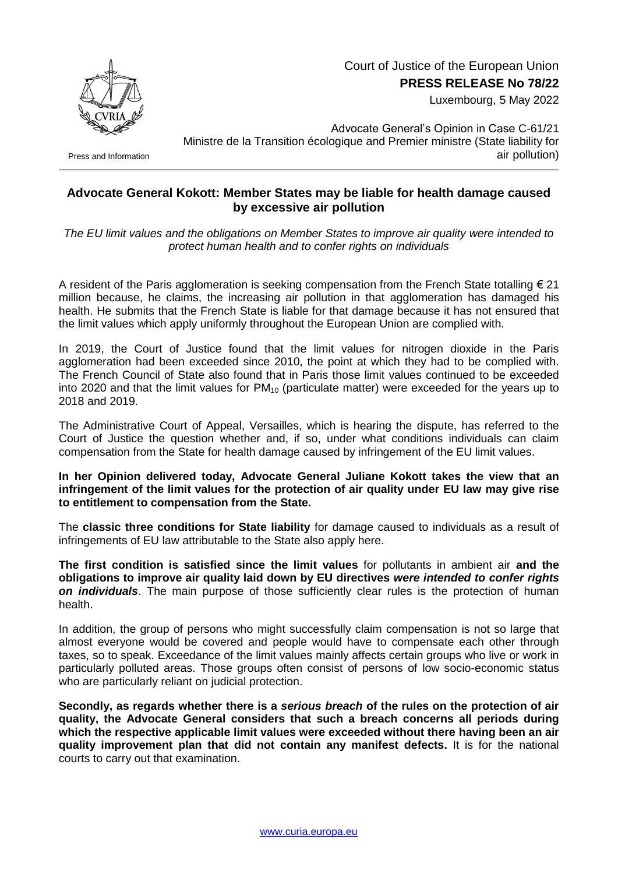Court of Justice of the European Union **PRESS RELEASE No 78/22**

Luxembourg, 5 May 2022



Press and Information

Advocate General's Opinion in Case C-61/21 Ministre de la Transition écologique and Premier ministre (State liability for air pollution)

## **Advocate General Kokott: Member States may be liable for health damage caused by excessive air pollution**

*The EU limit values and the obligations on Member States to improve air quality were intended to protect human health and to confer rights on individuals*

A resident of the Paris agglomeration is seeking compensation from the French State totalling  $\epsilon$  21 million because, he claims, the increasing air pollution in that agglomeration has damaged his health. He submits that the French State is liable for that damage because it has not ensured that the limit values which apply uniformly throughout the European Union are complied with.

In 2019, the Court of Justice found that the limit values for nitrogen dioxide in the Paris agglomeration had been exceeded since 2010, the point at which they had to be complied with. The French Council of State also found that in Paris those limit values continued to be exceeded into 2020 and that the limit values for  $PM_{10}$  (particulate matter) were exceeded for the years up to 2018 and 2019.

The Administrative Court of Appeal, Versailles, which is hearing the dispute, has referred to the Court of Justice the question whether and, if so, under what conditions individuals can claim compensation from the State for health damage caused by infringement of the EU limit values.

## **In her Opinion delivered today, Advocate General Juliane Kokott takes the view that an infringement of the limit values for the protection of air quality under EU law may give rise to entitlement to compensation from the State.**

The **classic three conditions for State liability** for damage caused to individuals as a result of infringements of EU law attributable to the State also apply here.

**The first condition is satisfied since the limit values** for pollutants in ambient air **and the obligations to improve air quality laid down by EU directives** *were intended to confer rights on individuals*. The main purpose of those sufficiently clear rules is the protection of human health.

In addition, the group of persons who might successfully claim compensation is not so large that almost everyone would be covered and people would have to compensate each other through taxes, so to speak. Exceedance of the limit values mainly affects certain groups who live or work in particularly polluted areas. Those groups often consist of persons of low socio-economic status who are particularly reliant on judicial protection.

**Secondly, as regards whether there is a** *serious breach* **of the rules on the protection of air quality, the Advocate General considers that such a breach concerns all periods during which the respective applicable limit values were exceeded without there having been an air quality improvement plan that did not contain any manifest defects.** It is for the national courts to carry out that examination.